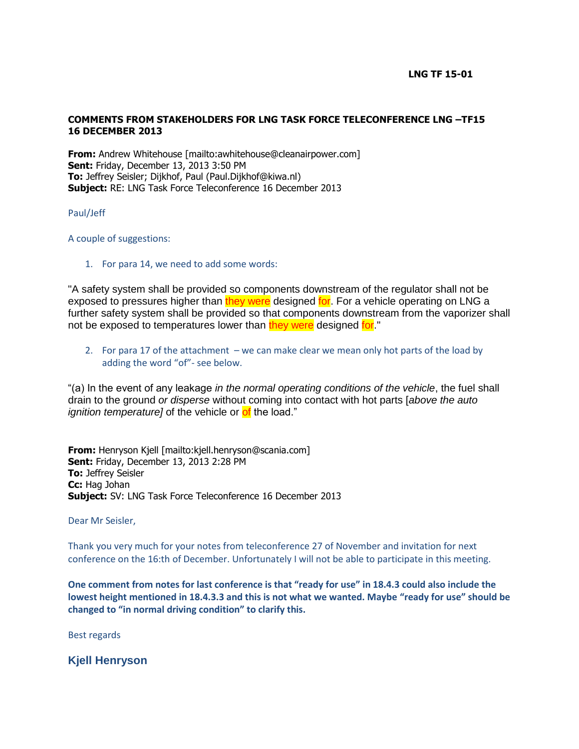## **COMMENTS FROM STAKEHOLDERS FOR LNG TASK FORCE TELECONFERENCE LNG –TF15 16 DECEMBER 2013**

**From:** Andrew Whitehouse [mailto:awhitehouse@cleanairpower.com] **Sent:** Friday, December 13, 2013 3:50 PM **To:** Jeffrey Seisler; Dijkhof, Paul (Paul.Dijkhof@kiwa.nl) **Subject:** RE: LNG Task Force Teleconference 16 December 2013

## Paul/Jeff

A couple of suggestions:

1. For para 14, we need to add some words:

"A safety system shall be provided so components downstream of the regulator shall not be exposed to pressures higher than they were designed for. For a vehicle operating on LNG a further safety system shall be provided so that components downstream from the vaporizer shall not be exposed to temperatures lower than they were designed for."

2. For para 17 of the attachment – we can make clear we mean only hot parts of the load by adding the word "of"- see below.

"(a) In the event of any leakage *in the normal operating conditions of the vehicle*, the fuel shall drain to the ground *or disperse* without coming into contact with hot parts [*above the auto ignition temperature]* of the vehicle or **of** the load."

**From:** Henryson Kjell [mailto:kjell.henryson@scania.com] **Sent:** Friday, December 13, 2013 2:28 PM **To:** Jeffrey Seisler **Cc:** Hag Johan **Subject:** SV: LNG Task Force Teleconference 16 December 2013

Dear Mr Seisler,

Thank you very much for your notes from teleconference 27 of November and invitation for next conference on the 16:th of December. Unfortunately I will not be able to participate in this meeting.

**One comment from notes for last conference is that "ready for use" in 18.4.3 could also include the lowest height mentioned in 18.4.3.3 and this is not what we wanted. Maybe "ready for use" should be changed to "in normal driving condition" to clarify this.**

Best regards

**Kjell Henryson**